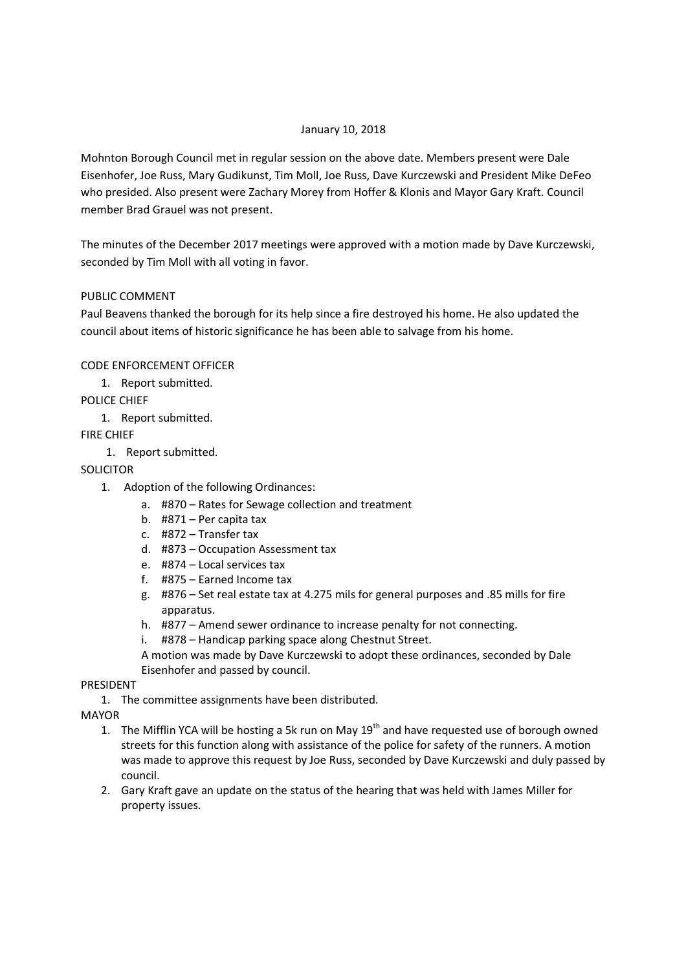#### January 10, 2018

Mohnton Borough Council met in regular session on the above date. Members present were Dale Eisenhofer, Joe Russ, Mary Gudikunst, Tim Moll, Joe Russ, Dave Kurczewski and President Mike DeFeo who presided. Also present were Zachary Morey from Hoffer & Klonis and Mayor Gary Kraft. Council member Brad Grauel was not present.

The minutes of the December 2017 meetings were approved with a motion made by Dave Kurczewski, seconded by Tim Moll with all voting in favor.

### PUBLIC COMMENT

Paul Beavens thanked the borough for its help since a fire destroyed his home. He also updated the council about items of historic significance he has been able to salvage from his home.

### CODE ENFORCEMENT OFFICER

1. Report submitted.

POLICE CHIEF

1. Report submitted.

FIRE CHIEF

1. Report submitted.

# SOLICITOR

- 1. Adoption of the following Ordinances:
	- a. #870 Rates for Sewage collection and treatment
	- b. #871 Per capita tax
	- c. #872 Transfer tax
	- d. #873 Occupation Assessment tax
	- e. #874 Local services tax
	- f. #875 Earned Income tax
	- g. #876 Set real estate tax at 4.275 mils for general purposes and .85 mills for fire apparatus.
	- h. #877 Amend sewer ordinance to increase penalty for not connecting.
	- i. #878 Handicap parking space along Chestnut Street.
	- A motion was made by Dave Kurczewski to adopt these ordinances, seconded by Dale Eisenhofer and passed by council.

# PRESIDENT

1. The committee assignments have been distributed.

# MAYOR

- 1. The Mifflin YCA will be hosting a 5k run on May 19<sup>th</sup> and have requested use of borough owned streets for this function along with assistance of the police for safety of the runners. A motion was made to approve this request by Joe Russ, seconded by Dave Kurczewski and duly passed by council.
- 2. Gary Kraft gave an update on the status of the hearing that was held with James Miller for property issues.